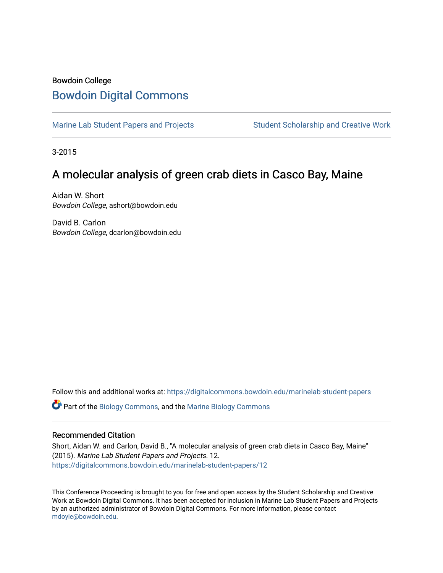## Bowdoin College [Bowdoin Digital Commons](https://digitalcommons.bowdoin.edu/)

[Marine Lab Student Papers and Projects](https://digitalcommons.bowdoin.edu/marinelab-student-papers) Student Scholarship and Creative Work

3-2015

## A molecular analysis of green crab diets in Casco Bay, Maine

Aidan W. Short Bowdoin College, ashort@bowdoin.edu

David B. Carlon Bowdoin College, dcarlon@bowdoin.edu

Follow this and additional works at: [https://digitalcommons.bowdoin.edu/marinelab-student-papers](https://digitalcommons.bowdoin.edu/marinelab-student-papers?utm_source=digitalcommons.bowdoin.edu%2Fmarinelab-student-papers%2F12&utm_medium=PDF&utm_campaign=PDFCoverPages) 

Part of the [Biology Commons,](http://network.bepress.com/hgg/discipline/41?utm_source=digitalcommons.bowdoin.edu%2Fmarinelab-student-papers%2F12&utm_medium=PDF&utm_campaign=PDFCoverPages) and the [Marine Biology Commons](http://network.bepress.com/hgg/discipline/1126?utm_source=digitalcommons.bowdoin.edu%2Fmarinelab-student-papers%2F12&utm_medium=PDF&utm_campaign=PDFCoverPages)

## Recommended Citation

Short, Aidan W. and Carlon, David B., "A molecular analysis of green crab diets in Casco Bay, Maine" (2015). Marine Lab Student Papers and Projects. 12. [https://digitalcommons.bowdoin.edu/marinelab-student-papers/12](https://digitalcommons.bowdoin.edu/marinelab-student-papers/12?utm_source=digitalcommons.bowdoin.edu%2Fmarinelab-student-papers%2F12&utm_medium=PDF&utm_campaign=PDFCoverPages) 

This Conference Proceeding is brought to you for free and open access by the Student Scholarship and Creative Work at Bowdoin Digital Commons. It has been accepted for inclusion in Marine Lab Student Papers and Projects by an authorized administrator of Bowdoin Digital Commons. For more information, please contact [mdoyle@bowdoin.edu.](mailto:mdoyle@bowdoin.edu)